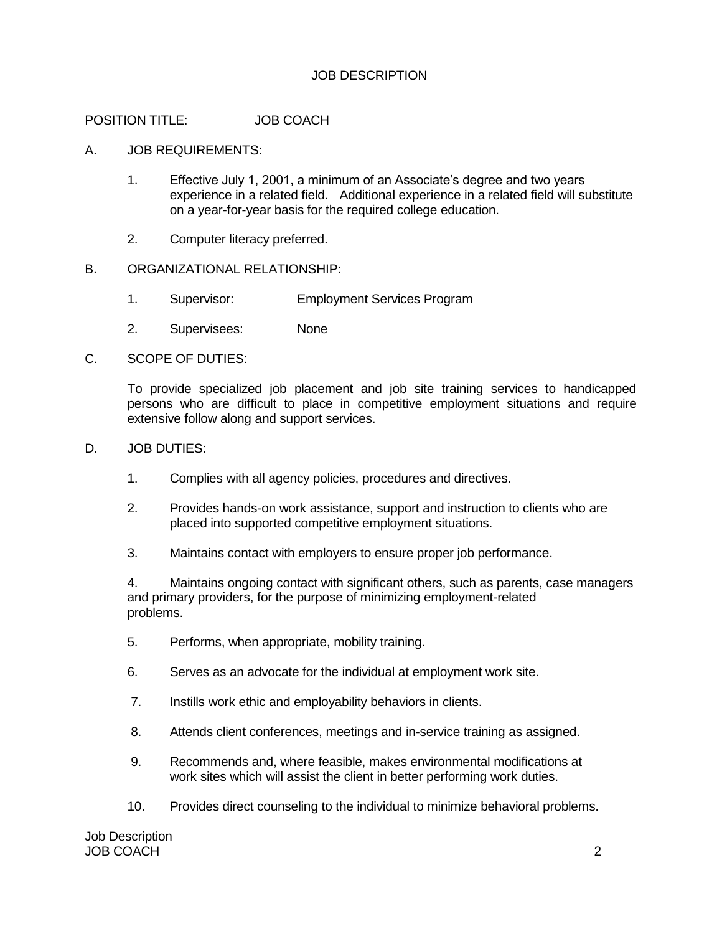## JOB DESCRIPTION

POSITION TITLE: JOB COACH

## A. JOB REQUIREMENTS:

- 1. Effective July 1, 2001, a minimum of an Associate's degree and two years experience in a related field. Additional experience in a related field will substitute on a year-for-year basis for the required college education.
- 2. Computer literacy preferred.
- B. ORGANIZATIONAL RELATIONSHIP:
	- 1. Supervisor: Employment Services Program
	- 2. Supervisees: None
- C. SCOPE OF DUTIES:

To provide specialized job placement and job site training services to handicapped persons who are difficult to place in competitive employment situations and require extensive follow along and support services.

- D. JOB DUTIES:
	- 1. Complies with all agency policies, procedures and directives.
	- 2. Provides hands-on work assistance, support and instruction to clients who are placed into supported competitive employment situations.
	- 3. Maintains contact with employers to ensure proper job performance.

4. Maintains ongoing contact with significant others, such as parents, case managers and primary providers, for the purpose of minimizing employment-related problems.

- 5. Performs, when appropriate, mobility training.
- 6. Serves as an advocate for the individual at employment work site.
- 7. Instills work ethic and employability behaviors in clients.
- 8. Attends client conferences, meetings and in-service training as assigned.
- 9. Recommends and, where feasible, makes environmental modifications at work sites which will assist the client in better performing work duties.
- 10. Provides direct counseling to the individual to minimize behavioral problems.

Job Description JOB COACH 2